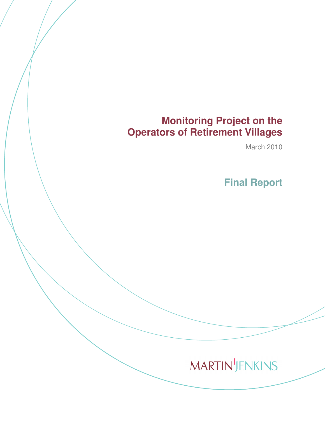# **Monitoring Project on the Operators of Retirement Villages**

March 2010

 **Final Report** 

# **MARTIN'JENKINS**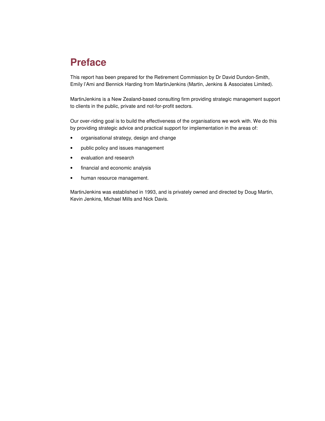# **Preface**

This report has been prepared for the Retirement Commission by Dr David Dundon-Smith, Emily l'Ami and Bennick Harding from MartinJenkins (Martin, Jenkins & Associates Limited).

MartinJenkins is a New Zealand-based consulting firm providing strategic management support to clients in the public, private and not-for-profit sectors.

Our over-riding goal is to build the effectiveness of the organisations we work with. We do this by providing strategic advice and practical support for implementation in the areas of:

- organisational strategy, design and change
- public policy and issues management
- evaluation and research
- financial and economic analysis
- human resource management.

MartinJenkins was established in 1993, and is privately owned and directed by Doug Martin, Kevin Jenkins, Michael Mills and Nick Davis.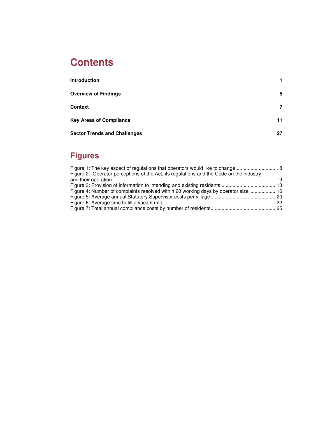# **Contents**

| <b>Introduction</b>                 |    |
|-------------------------------------|----|
| <b>Overview of Findings</b>         | 5  |
| Context                             | 7  |
| <b>Key Areas of Compliance</b>      | 11 |
| <b>Sector Trends and Challenges</b> | 27 |

# **Figures**

| Figure 2: Operator perceptions of the Act, its regulations and the Code on the industry |  |
|-----------------------------------------------------------------------------------------|--|
|                                                                                         |  |
|                                                                                         |  |
| Figure 4: Number of complaints resolved within 20 working days by operator size 16      |  |
|                                                                                         |  |
|                                                                                         |  |
|                                                                                         |  |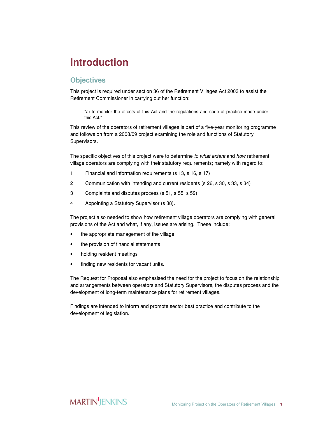# **Introduction**

### **Objectives**

This project is required under section 36 of the Retirement Villages Act 2003 to assist the Retirement Commissioner in carrying out her function:

"a) to monitor the effects of this Act and the regulations and code of practice made under this Act."

This review of the operators of retirement villages is part of a five-year monitoring programme and follows on from a 2008/09 project examining the role and functions of Statutory Supervisors.

The specific objectives of this project were to determine to what extent and how retirement village operators are complying with their statutory requirements; namely with regard to:

- 1 Financial and information requirements (s 13, s 16, s 17)
- 2 Communication with intending and current residents (s 26, s 30, s 33, s 34)
- 3 Complaints and disputes process (s 51, s 55, s 59)
- 4 Appointing a Statutory Supervisor (s 38).

The project also needed to show how retirement village operators are complying with general provisions of the Act and what, if any, issues are arising. These include:

- the appropriate management of the village
- the provision of financial statements
- holding resident meetings
- finding new residents for vacant units.

The Request for Proposal also emphasised the need for the project to focus on the relationship and arrangements between operators and Statutory Supervisors, the disputes process and the development of long-term maintenance plans for retirement villages.

Findings are intended to inform and promote sector best practice and contribute to the development of legislation.

### **MARTIN** JENKINS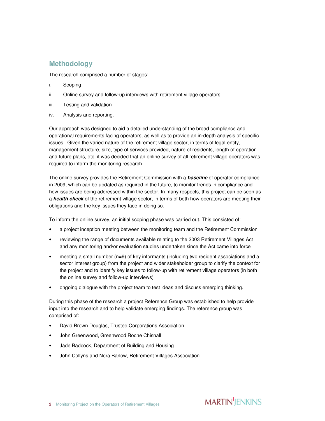### **Methodology**

The research comprised a number of stages:

- i. Scoping
- ii. Online survey and follow-up interviews with retirement village operators
- iii. Testing and validation
- iv. Analysis and reporting.

Our approach was designed to aid a detailed understanding of the broad compliance and operational requirements facing operators, as well as to provide an in-depth analysis of specific issues. Given the varied nature of the retirement village sector, in terms of legal entity, management structure, size, type of services provided, nature of residents, length of operation and future plans, etc, it was decided that an online survey of all retirement village operators was required to inform the monitoring research.

The online survey provides the Retirement Commission with a **baseline** of operator compliance in 2009, which can be updated as required in the future, to monitor trends in compliance and how issues are being addressed within the sector. In many respects, this project can be seen as a **health check** of the retirement village sector, in terms of both how operators are meeting their obligations and the key issues they face in doing so.

To inform the online survey, an initial scoping phase was carried out. This consisted of:

- a project inception meeting between the monitoring team and the Retirement Commission
- reviewing the range of documents available relating to the 2003 Retirement Villages Act and any monitoring and/or evaluation studies undertaken since the Act came into force
- meeting a small number (n=9) of key informants (including two resident associations and a sector interest group) from the project and wider stakeholder group to clarify the context for the project and to identify key issues to follow-up with retirement village operators (in both the online survey and follow-up interviews)
- ongoing dialogue with the project team to test ideas and discuss emerging thinking.

During this phase of the research a project Reference Group was established to help provide input into the research and to help validate emerging findings. The reference group was comprised of:

- David Brown Douglas, Trustee Corporations Association
- John Greenwood, Greenwood Roche Chisnall
- Jade Badcock, Department of Building and Housing
- John Collyns and Nora Barlow, Retirement Villages Association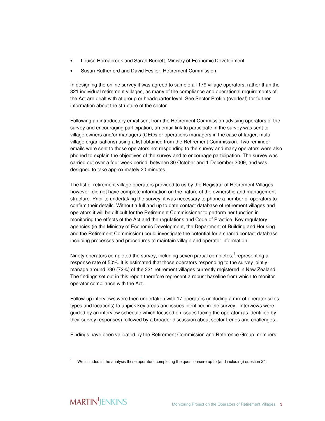- Louise Hornabrook and Sarah Burnett, Ministry of Economic Development
- Susan Rutherford and David Feslier, Retirement Commission.

In designing the online survey it was agreed to sample all 179 village operators, rather than the 321 individual retirement villages, as many of the compliance and operational requirements of the Act are dealt with at group or headquarter level. See Sector Profile (overleaf) for further information about the structure of the sector.

Following an introductory email sent from the Retirement Commission advising operators of the survey and encouraging participation, an email link to participate in the survey was sent to village owners and/or managers (CEOs or operations managers in the case of larger, multivillage organisations) using a list obtained from the Retirement Commission. Two reminder emails were sent to those operators not responding to the survey and many operators were also phoned to explain the objectives of the survey and to encourage participation. The survey was carried out over a four week period, between 30 October and 1 December 2009, and was designed to take approximately 20 minutes.

The list of retirement village operators provided to us by the Registrar of Retirement Villages however, did not have complete information on the nature of the ownership and management structure. Prior to undertaking the survey, it was necessary to phone a number of operators to confirm their details. Without a full and up to date contact database of retirement villages and operators it will be difficult for the Retirement Commissioner to perform her function in monitoring the effects of the Act and the regulations and Code of Practice. Key regulatory agencies (ie the Ministry of Economic Development, the Department of Building and Housing and the Retirement Commission) could investigate the potential for a shared contact database including processes and procedures to maintain village and operator information.

Ninety operators completed the survey, including seven partial completes,<sup>1</sup> representing a response rate of 50%. It is estimated that those operators responding to the survey jointly manage around 230 (72%) of the 321 retirement villages currently registered in New Zealand. The findings set out in this report therefore represent a robust baseline from which to monitor operator compliance with the Act.

Follow-up interviews were then undertaken with 17 operators (including a mix of operator sizes, types and locations) to unpick key areas and issues identified in the survey. Interviews were guided by an interview schedule which focused on issues facing the operator (as identified by their survey responses) followed by a broader discussion about sector trends and challenges.

Findings have been validated by the Retirement Commission and Reference Group members.

 $\overline{a}$ 1 We included in the analysis those operators completing the questionnaire up to (and including) question 24.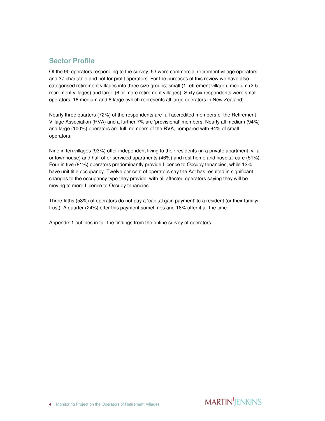### **Sector Profile**

Of the 90 operators responding to the survey, 53 were commercial retirement village operators and 37 charitable and not for profit operators. For the purposes of this review we have also categorised retirement villages into three size groups; small (1 retirement village), medium (2-5 retirement villages) and large (6 or more retirement villages). Sixty six respondents were small operators, 16 medium and 8 large (which represents all large operators in New Zealand).

Nearly three quarters (72%) of the respondents are full accredited members of the Retirement Village Association (RVA) and a further 7% are 'provisional' members. Nearly all medium (94%) and large (100%) operators are full members of the RVA, compared with 64% of small operators.

Nine in ten villages (93%) offer independent living to their residents (in a private apartment, villa or townhouse) and half offer serviced apartments (46%) and rest home and hospital care (51%). Four in five (81%) operators predominantly provide Licence to Occupy tenancies, while 12% have unit title occupancy. Twelve per cent of operators say the Act has resulted in significant changes to the occupancy type they provide, with all affected operators saying they will be moving to more Licence to Occupy tenancies.

Three-fifths (58%) of operators do not pay a 'capital gain payment' to a resident (or their family/ trust). A quarter (24%) offer this payment sometimes and 18% offer it all the time.

Appendix 1 outlines in full the findings from the online survey of operators.

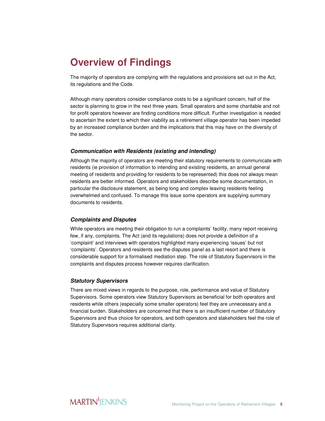# **Overview of Findings**

The majority of operators are complying with the regulations and provisions set out in the Act, its regulations and the Code.

Although many operators consider compliance costs to be a significant concern, half of the sector is planning to grow in the next three years. Small operators and some charitable and not for profit operators however are finding conditions more difficult. Further investigation is needed to ascertain the extent to which their viability as a retirement village operator has been impeded by an increased compliance burden and the implications that this may have on the diversity of the sector.

#### **Communication with Residents (existing and intending)**

Although the majority of operators are meeting their statutory requirements to communicate with residents (ie provision of information to intending and existing residents, an annual general meeting of residents and providing for residents to be represented) this does not always mean residents are better informed. Operators and stakeholders describe some documentation, in particular the disclosure statement, as being long and complex leaving residents feeling overwhelmed and confused. To manage this issue some operators are supplying summary documents to residents.

#### **Complaints and Disputes**

While operators are meeting their obligation to run a complaints' facility, many report receiving few, if any, complaints. The Act (and its regulations) does not provide a definition of a 'complaint' and interviews with operators highlighted many experiencing 'issues' but not 'complaints'. Operators and residents see the disputes panel as a last resort and there is considerable support for a formalised mediation step. The role of Statutory Supervisors in the complaints and disputes process however requires clarification.

#### **Statutory Supervisors**

There are mixed views in regards to the purpose, role, performance and value of Statutory Supervisors. Some operators view Statutory Supervisors as beneficial for both operators and residents while others (especially some smaller operators) feel they are unnecessary and a financial burden. Stakeholders are concerned that there is an insufficient number of Statutory Supervisors and thus choice for operators, and both operators and stakeholders feel the role of Statutory Supervisors requires additional clarity.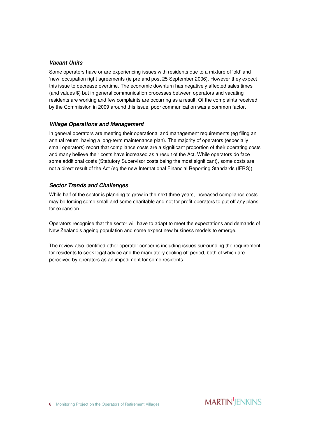#### **Vacant Units**

Some operators have or are experiencing issues with residents due to a mixture of 'old' and 'new' occupation right agreements (ie pre and post 25 September 2006). However they expect this issue to decrease overtime. The economic downturn has negatively affected sales times (and values \$) but in general communication processes between operators and vacating residents are working and few complaints are occurring as a result. Of the complaints received by the Commission in 2009 around this issue, poor communication was a common factor.

#### **Village Operations and Management**

In general operators are meeting their operational and management requirements (eg filing an annual return, having a long-term maintenance plan). The majority of operators (especially small operators) report that compliance costs are a significant proportion of their operating costs and many believe their costs have increased as a result of the Act. While operators do face some additional costs (Statutory Supervisor costs being the most significant), some costs are not a direct result of the Act (eg the new International Financial Reporting Standards (IFRS)).

#### **Sector Trends and Challenges**

While half of the sector is planning to grow in the next three years, increased compliance costs may be forcing some small and some charitable and not for profit operators to put off any plans for expansion.

Operators recognise that the sector will have to adapt to meet the expectations and demands of New Zealand's ageing population and some expect new business models to emerge.

The review also identified other operator concerns including issues surrounding the requirement for residents to seek legal advice and the mandatory cooling off period, both of which are perceived by operators as an impediment for some residents.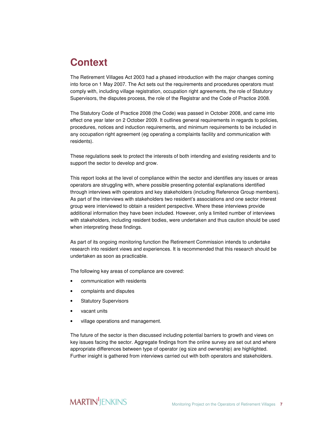# **Context**

The Retirement Villages Act 2003 had a phased introduction with the major changes coming into force on 1 May 2007. The Act sets out the requirements and procedures operators must comply with, including village registration, occupation right agreements, the role of Statutory Supervisors, the disputes process, the role of the Registrar and the Code of Practice 2008.

The Statutory Code of Practice 2008 (the Code) was passed in October 2008, and came into effect one year later on 2 October 2009. It outlines general requirements in regards to policies, procedures, notices and induction requirements, and minimum requirements to be included in any occupation right agreement (eg operating a complaints facility and communication with residents).

These regulations seek to protect the interests of both intending and existing residents and to support the sector to develop and grow.

This report looks at the level of compliance within the sector and identifies any issues or areas operators are struggling with, where possible presenting potential explanations identified through interviews with operators and key stakeholders (including Reference Group members). As part of the interviews with stakeholders two resident's associations and one sector interest group were interviewed to obtain a resident perspective. Where these interviews provide additional information they have been included. However, only a limited number of interviews with stakeholders, including resident bodies, were undertaken and thus caution should be used when interpreting these findings.

As part of its ongoing monitoring function the Retirement Commission intends to undertake research into resident views and experiences. It is recommended that this research should be undertaken as soon as practicable.

The following key areas of compliance are covered:

- communication with residents
- complaints and disputes
- Statutory Supervisors
- vacant units
- village operations and management.

The future of the sector is then discussed including potential barriers to growth and views on key issues facing the sector. Aggregate findings from the online survey are set out and where appropriate differences between type of operator (eg size and ownership) are highlighted. Further insight is gathered from interviews carried out with both operators and stakeholders.

### **MARTIN** JENKINS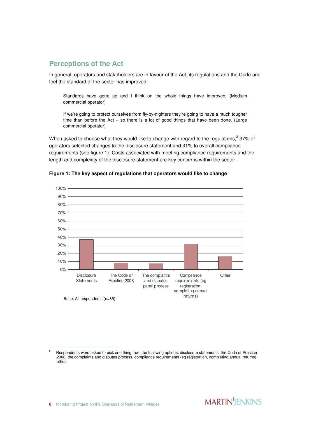### **Perceptions of the Act**

In general, operators and stakeholders are in favour of the Act, its regulations and the Code and feel the standard of the sector has improved.

Standards have gone up and I think on the whole things have improved. (Medium commercial operator)

If we're going to protect ourselves from fly-by-nighters they're going to have a much tougher time than before the Act – so there is a lot of good things that have been done. (Large commercial operator)

When asked to choose what they would like to change with regard to the regulations,<sup>2</sup> 37% of operators selected changes to the disclosure statement and 31% to overall compliance requirements (see figure 1). Costs associated with meeting compliance requirements and the length and complexity of the disclosure statement are key concerns within the sector.



**Figure 1: The key aspect of regulations that operators would like to change** 

j

<sup>2</sup> Respondents were asked to pick one thing from the following options: disclosure statements, the Code of Practice 2008, the complaints and disputes process, compliance requirements (eg registration, completing annual returns), other.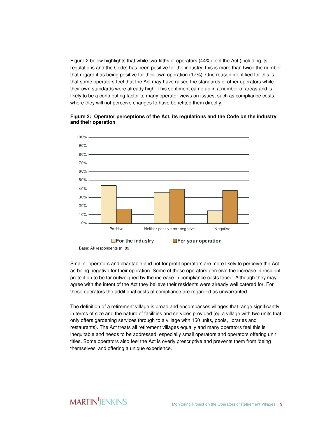Figure 2 below highlights that while two-fifths of operators (44%) feel the Act (including its regulations and the Code) has been positive for the industry; this is more than twice the number that regard it as being positive for their own operation (17%). One reason identified for this is that some operators feel that the Act may have raised the standards of other operators while their own standards were already high. This sentiment came up in a number of areas and is likely to be a contributing factor to many operator views on issues, such as compliance costs, where they will not perceive changes to have benefited them directly.



#### **Figure 2: Operator perceptions of the Act, its regulations and the Code on the industry and their operation**

Base: All respondents (n=89)

Smaller operators and charitable and not for profit operators are more likely to perceive the Act as being negative for their operation. Some of these operators perceive the increase in resident protection to be far outweighed by the increase in compliance costs faced. Although they may agree with the intent of the Act they believe their residents were already well catered for. For these operators the additional costs of compliance are regarded as unwarranted.

The definition of a retirement village is broad and encompasses villages that range significantly in terms of size and the nature of facilities and services provided (eg a village with two units that only offers gardening services through to a village with 150 units, pools, libraries and restaurants). The Act treats all retirement villages equally and many operators feel this is inequitable and needs to be addressed, especially small operators and operators offering unit titles. Some operators also feel the Act is overly prescriptive and prevents them from 'being themselves' and offering a unique experience.

### **MARTIN**IFNKINS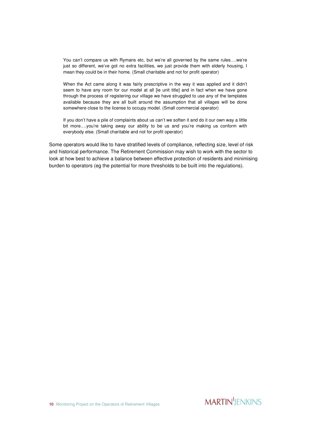You can't compare us with Rymans etc, but we're all governed by the same rules….we're just so different, we've got no extra facilities, we just provide them with elderly housing, I mean they could be in their home. (Small charitable and not for profit operator)

When the Act came along it was fairly prescriptive in the way it was applied and it didn't seem to have any room for our model at all [ie unit title] and in fact when we have gone through the process of registering our village we have struggled to use any of the templates available because they are all built around the assumption that all villages will be done somewhere close to the license to occupy model. (Small commercial operator)

If you don't have a pile of complaints about us can't we soften it and do it our own way a little bit more….you're taking away our ability to be us and you're making us conform with everybody else. (Small charitable and not for profit operator)

Some operators would like to have stratified levels of compliance, reflecting size, level of risk and historical performance. The Retirement Commission may wish to work with the sector to look at how best to achieve a balance between effective protection of residents and minimising burden to operators (eg the potential for more thresholds to be built into the regulations).

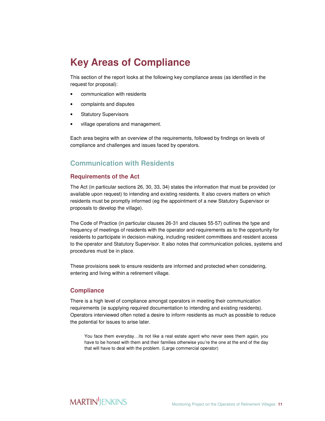# **Key Areas of Compliance**

This section of the report looks at the following key compliance areas (as identified in the request for proposal):

- communication with residents
- complaints and disputes
- **Statutory Supervisors**
- village operations and management.

Each area begins with an overview of the requirements, followed by findings on levels of compliance and challenges and issues faced by operators.

### **Communication with Residents**

#### **Requirements of the Act**

The Act (in particular sections 26, 30, 33, 34) states the information that must be provided (or available upon request) to intending and existing residents. It also covers matters on which residents must be promptly informed (eg the appointment of a new Statutory Supervisor or proposals to develop the village).

The Code of Practice (in particular clauses 26-31 and clauses 55-57) outlines the type and frequency of meetings of residents with the operator and requirements as to the opportunity for residents to participate in decision-making, including resident committees and resident access to the operator and Statutory Supervisor. It also notes that communication policies, systems and procedures must be in place.

These provisions seek to ensure residents are informed and protected when considering, entering and living within a retirement village.

#### **Compliance**

There is a high level of compliance amongst operators in meeting their communication requirements (ie supplying required documentation to intending and existing residents). Operators interviewed often noted a desire to inform residents as much as possible to reduce the potential for issues to arise later.

You face them everyday…its not like a real estate agent who never sees them again, you have to be honest with them and their families otherwise you're the one at the end of the day that will have to deal with the problem. (Large commercial operator)

### **MARTIN** JENKINS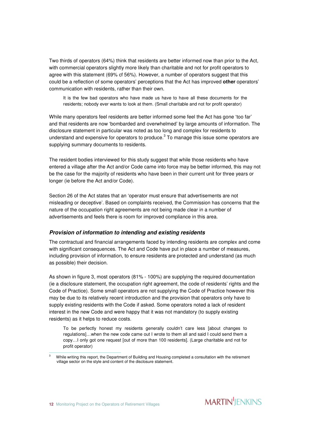Two thirds of operators (64%) think that residents are better informed now than prior to the Act, with commercial operators slightly more likely than charitable and not for profit operators to agree with this statement (69% cf 56%). However, a number of operators suggest that this could be a reflection of some operators' perceptions that the Act has improved **other** operators' communication with residents, rather than their own.

It is the few bad operators who have made us have to have all these documents for the residents; nobody ever wants to look at them. (Small charitable and not for profit operator)

While many operators feel residents are better informed some feel the Act has gone 'too far' and that residents are now 'bombarded and overwhelmed' by large amounts of information. The disclosure statement in particular was noted as too long and complex for residents to understand and expensive for operators to produce. $^3$  To manage this issue some operators are supplying summary documents to residents.

The resident bodies interviewed for this study suggest that while those residents who have entered a village after the Act and/or Code came into force may be better informed, this may not be the case for the majority of residents who have been in their current unit for three years or longer (ie before the Act and/or Code).

Section 26 of the Act states that an 'operator must ensure that advertisements are not misleading or deceptive'. Based on complaints received, the Commission has concerns that the nature of the occupation right agreements are not being made clear in a number of advertisements and feels there is room for improved compliance in this area.

#### **Provision of information to intending and existing residents**

The contractual and financial arrangements faced by intending residents are complex and come with significant consequences. The Act and Code have put in place a number of measures, including provision of information, to ensure residents are protected and understand (as much as possible) their decision.

As shown in figure 3, most operators (81% - 100%) are supplying the required documentation (ie a disclosure statement, the occupation right agreement, the code of residents' rights and the Code of Practice). Some small operators are not supplying the Code of Practice however this may be due to its relatively recent introduction and the provision that operators only have to supply existing residents with the Code if asked. Some operators noted a lack of resident interest in the new Code and were happy that it was not mandatory (to supply existing residents) as it helps to reduce costs.

To be perfectly honest my residents generally couldn't care less [about changes to regulations]…when the new code came out I wrote to them all and said I could send them a copy…I only got one request [out of more than 100 residents]. (Large charitable and not for profit operator)

j 3 While writing this report, the Department of Building and Housing completed a consultation with the retirement village sector on the style and content of the disclosure statement.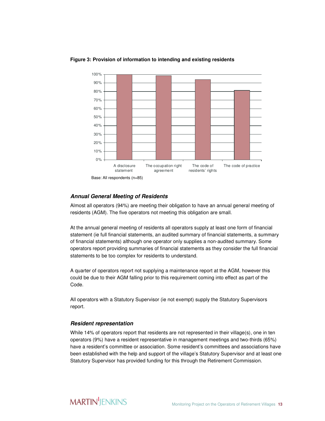

#### **Figure 3: Provision of information to intending and existing residents**

#### **Annual General Meeting of Residents**

Almost all operators (94%) are meeting their obligation to have an annual general meeting of residents (AGM). The five operators not meeting this obligation are small.

At the annual general meeting of residents all operators supply at least one form of financial statement (ie full financial statements, an audited summary of financial statements, a summary of financial statements) although one operator only supplies a non-audited summary. Some operators report providing summaries of financial statements as they consider the full financial statements to be too complex for residents to understand.

A quarter of operators report not supplying a maintenance report at the AGM, however this could be due to their AGM falling prior to this requirement coming into effect as part of the Code.

All operators with a Statutory Supervisor (ie not exempt) supply the Statutory Supervisors report.

#### **Resident representation**

While 14% of operators report that residents are not represented in their village(s), one in ten operators (9%) have a resident representative in management meetings and two-thirds (65%) have a resident's committee or association. Some resident's committees and associations have been established with the help and support of the village's Statutory Supervisor and at least one Statutory Supervisor has provided funding for this through the Retirement Commission.

### **MARTIN** JENKINS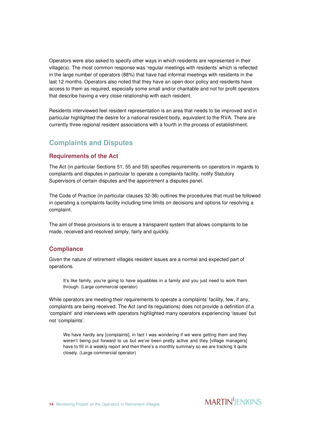Operators were also asked to specify other ways in which residents are represented in their village(s). The most common response was 'regular meetings with residents' which is reflected in the large number of operators (88%) that have had informal meetings with residents in the last 12 months. Operators also noted that they have an open door policy and residents have access to them as required, especially some small and/or charitable and not for profit operators that describe having a very close relationship with each resident.

Residents interviewed feel resident representation is an area that needs to be improved and in particular highlighted the desire for a national resident body, equivalent to the RVA. There are currently three regional resident associations with a fourth in the process of establishment.

### **Complaints and Disputes**

#### **Requirements of the Act**

The Act (in particular Sections 51, 55 and 59) specifies requirements on operators in regards to complaints and disputes in particular to operate a complaints facility, notify Statutory Supervisors of certain disputes and the appointment a disputes panel.

The Code of Practice (in particular clauses 32-36) outlines the procedures that must be followed in operating a complaints facility including time limits on decisions and options for resolving a complaint.

The aim of these provisions is to ensure a transparent system that allows complaints to be made, received and resolved simply, fairly and quickly.

#### **Compliance**

Given the nature of retirement villages resident issues are a normal and expected part of operations.

It's like family, you're going to have squabbles in a family and you just need to work them through. (Large commercial operator)

While operators are meeting their requirements to operate a complaints' facility, few, if any, complaints are being received. The Act (and its regulations) does not provide a definition of a 'complaint' and interviews with operators highlighted many operators experiencing 'issues' but not 'complaints'.

We have hardly any [complaints], in fact I was wondering if we were getting them and they weren't being put forward to us but we've been pretty active and they [village managers] have to fill in a weekly report and then there's a monthly summary so we are tracking it quite closely. (Large commercial operator)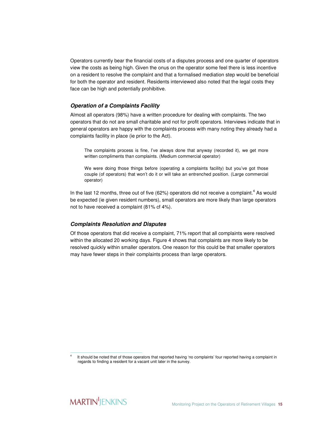Operators currently bear the financial costs of a disputes process and one quarter of operators view the costs as being high. Given the onus on the operator some feel there is less incentive on a resident to resolve the complaint and that a formalised mediation step would be beneficial for both the operator and resident. Residents interviewed also noted that the legal costs they face can be high and potentially prohibitive.

#### **Operation of a Complaints Facility**

Almost all operators (98%) have a written procedure for dealing with complaints. The two operators that do not are small charitable and not for profit operators. Interviews indicate that in general operators are happy with the complaints process with many noting they already had a complaints facility in place (ie prior to the Act).

The complaints process is fine, I've always done that anyway (recorded it), we get more written compliments than complaints. (Medium commercial operator)

We were doing those things before (operating a complaints facility) but you've got those couple (of operators) that won't do it or will take an entrenched position. (Large commercial operator)

In the last 12 months, three out of five (62%) operators did not receive a complaint.<sup>4</sup> As would be expected (ie given resident numbers), small operators are more likely than large operators not to have received a complaint (81% cf 4%).

#### **Complaints Resolution and Disputes**

Of those operators that did receive a complaint, 71% report that all complaints were resolved within the allocated 20 working days. Figure 4 shows that complaints are more likely to be resolved quickly within smaller operators. One reason for this could be that smaller operators may have fewer steps in their complaints process than large operators.

 $\overline{a}$ 

<sup>4</sup> It should be noted that of those operators that reported having 'no complaints' four reported having a complaint in regards to finding a resident for a vacant unit later in the survey.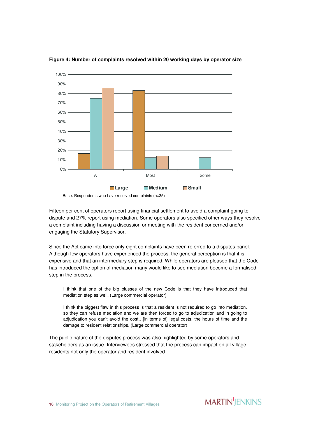

**Figure 4: Number of complaints resolved within 20 working days by operator size** 

Base: Respondents who have received complaints (n=35)

Fifteen per cent of operators report using financial settlement to avoid a complaint going to dispute and 27% report using mediation. Some operators also specified other ways they resolve a complaint including having a discussion or meeting with the resident concerned and/or engaging the Statutory Supervisor.

Since the Act came into force only eight complaints have been referred to a disputes panel. Although few operators have experienced the process, the general perception is that it is expensive and that an intermediary step is required. While operators are pleased that the Code has introduced the option of mediation many would like to see mediation become a formalised step in the process.

I think that one of the big plusses of the new Code is that they have introduced that mediation step as well. (Large commercial operator)

I think the biggest flaw in this process is that a resident is not required to go into mediation, so they can refuse mediation and we are then forced to go to adjudication and in going to adjudication you can't avoid the cost...[in terms of] legal costs, the hours of time and the damage to resident relationships. (Large commercial operator)

The public nature of the disputes process was also highlighted by some operators and stakeholders as an issue. Interviewees stressed that the process can impact on all village residents not only the operator and resident involved.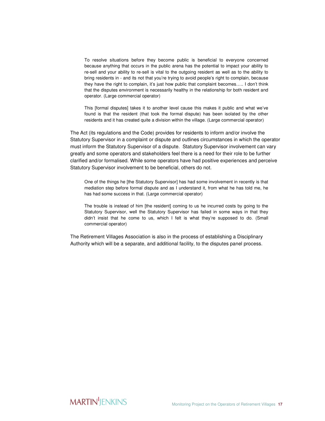To resolve situations before they become public is beneficial to everyone concerned because anything that occurs in the public arena has the potential to impact your ability to re-sell and your ability to re-sell is vital to the outgoing resident as well as to the ability to bring residents in - and its not that you're trying to avoid people's right to complain, because they have the right to complain, it's just how public that complaint becomes….. I don't think that the disputes environment is necessarily healthy in the relationship for both resident and operator. (Large commercial operator)

This [formal disputes] takes it to another level cause this makes it public and what we've found is that the resident (that took the formal dispute) has been isolated by the other residents and it has created quite a division within the village. (Large commercial operator)

The Act (its regulations and the Code) provides for residents to inform and/or involve the Statutory Supervisor in a complaint or dispute and outlines circumstances in which the operator must inform the Statutory Supervisor of a dispute. Statutory Supervisor involvement can vary greatly and some operators and stakeholders feel there is a need for their role to be further clarified and/or formalised. While some operators have had positive experiences and perceive Statutory Supervisor involvement to be beneficial, others do not.

One of the things he [the Statutory Supervisor] has had some involvement in recently is that mediation step before formal dispute and as I understand it, from what he has told me, he has had some success in that. (Large commercial operator)

The trouble is instead of him [the resident] coming to us he incurred costs by going to the Statutory Supervisor, well the Statutory Supervisor has failed in some ways in that they didn't insist that he come to us, which I felt is what they're supposed to do. (Small commercial operator)

The Retirement Villages Association is also in the process of establishing a Disciplinary Authority which will be a separate, and additional facility, to the disputes panel process.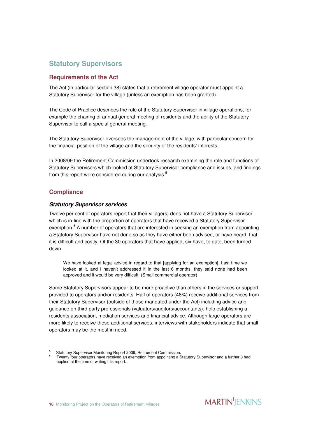### **Statutory Supervisors**

#### **Requirements of the Act**

The Act (in particular section 38) states that a retirement village operator must appoint a Statutory Supervisor for the village (unless an exemption has been granted).

The Code of Practice describes the role of the Statutory Supervisor in village operations, for example the chairing of annual general meeting of residents and the ability of the Statutory Supervisor to call a special general meeting.

The Statutory Supervisor oversees the management of the village, with particular concern for the financial position of the village and the security of the residents' interests.

In 2008/09 the Retirement Commission undertook research examining the role and functions of Statutory Supervisors which looked at Statutory Supervisor compliance and issues, and findings from this report were considered during our analysis.<sup>5</sup>

#### **Compliance**

#### **Statutory Supervisor services**

Twelve per cent of operators report that their village(s) does not have a Statutory Supervisor which is in-line with the proportion of operators that have received a Statutory Supervisor exemption.<sup>6</sup> A number of operators that are interested in seeking an exemption from appointing a Statutory Supervisor have not done so as they have either been advised, or have heard, that it is difficult and costly. Of the 30 operators that have applied, six have, to date, been turned down.

We have looked at legal advice in regard to that [applying for an exemption]. Last time we looked at it, and I haven't addressed it in the last 6 months, they said none had been approved and it would be very difficult. (Small commercial operator)

Some Statutory Supervisors appear to be more proactive than others in the services or support provided to operators and/or residents. Half of operators (48%) receive additional services from their Statutory Supervisor (outside of those mandated under the Act) including advice and guidance on third party professionals (valuators/auditors/accountants), help establishing a residents association, mediation services and financial advice. Although large operators are more likely to receive these additional services, interviews with stakeholders indicate that small operators may be the most in need.

j 5 Statutory Supervisor Monitoring Report 2009, Retirement Commission.

<sup>6</sup> Twenty four operators have received an exemption from appointing a Statutory Supervisor and a further 3 had applied at the time of writing this report.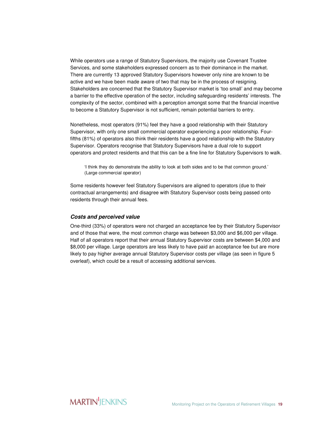While operators use a range of Statutory Supervisors, the majority use Covenant Trustee Services, and some stakeholders expressed concern as to their dominance in the market. There are currently 13 approved Statutory Supervisors however only nine are known to be active and we have been made aware of two that may be in the process of resigning. Stakeholders are concerned that the Statutory Supervisor market is 'too small' and may become a barrier to the effective operation of the sector, including safeguarding residents' interests. The complexity of the sector, combined with a perception amongst some that the financial incentive to become a Statutory Supervisor is not sufficient, remain potential barriers to entry.

Nonetheless, most operators (91%) feel they have a good relationship with their Statutory Supervisor, with only one small commercial operator experiencing a poor relationship. Fourfifths (81%) of operators also think their residents have a good relationship with the Statutory Supervisor. Operators recognise that Statutory Supervisors have a dual role to support operators and protect residents and that this can be a fine line for Statutory Supervisors to walk.

'I think they do demonstrate the ability to look at both sides and to be that common ground.' (Large commercial operator)

Some residents however feel Statutory Supervisors are aligned to operators (due to their contractual arrangements) and disagree with Statutory Supervisor costs being passed onto residents through their annual fees.

#### **Costs and perceived value**

One-third (33%) of operators were not charged an acceptance fee by their Statutory Supervisor and of those that were, the most common charge was between \$3,000 and \$6,000 per village. Half of all operators report that their annual Statutory Supervisor costs are between \$4,000 and \$8,000 per village. Large operators are less likely to have paid an acceptance fee but are more likely to pay higher average annual Statutory Supervisor costs per village (as seen in figure 5 overleaf), which could be a result of accessing additional services.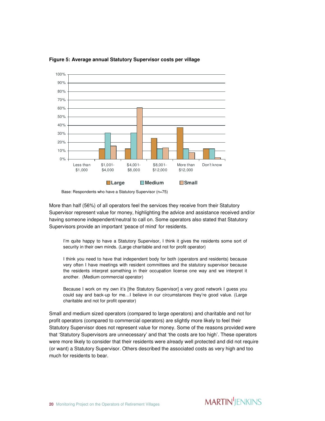

**Figure 5: Average annual Statutory Supervisor costs per village** 

Base: Respondents who have a Statutory Supervisor (n=75)

More than half (56%) of all operators feel the services they receive from their Statutory Supervisor represent value for money, highlighting the advice and assistance received and/or having someone independent/neutral to call on. Some operators also stated that Statutory Supervisors provide an important 'peace of mind' for residents.

I'm quite happy to have a Statutory Supervisor, I think it gives the residents some sort of security in their own minds. (Large charitable and not for profit operator)

I think you need to have that independent body for both (operators and residents) because very often I have meetings with resident committees and the statutory supervisor because the residents interpret something in their occupation license one way and we interpret it another. (Medium commercial operator)

Because I work on my own it's [the Statutory Supervisor] a very good network I guess you could say and back-up for me…I believe in our circumstances they're good value. (Large charitable and not for profit operator)

Small and medium sized operators (compared to large operators) and charitable and not for profit operators (compared to commercial operators) are slightly more likely to feel their Statutory Supervisor does not represent value for money. Some of the reasons provided were that 'Statutory Supervisors are unnecessary' and that 'the costs are too high'. These operators were more likely to consider that their residents were already well protected and did not require (or want) a Statutory Supervisor. Others described the associated costs as very high and too much for residents to bear.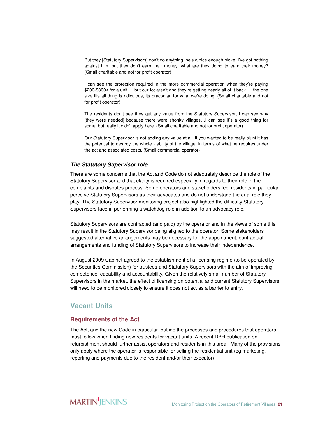But they [Statutory Supervisors] don't do anything, he's a nice enough bloke, I've got nothing against him, but they don't earn their money, what are they doing to earn their money? (Small charitable and not for profit operator)

I can see the protection required in the more commercial operation when they're paying \$200-\$300k for a unit…..but our lot aren't and they're getting nearly all of it back…. the one size fits all thing is ridiculous, its draconian for what we're doing. (Small charitable and not for profit operator)

The residents don't see they get any value from the Statutory Supervisor, I can see why [they were needed] because there were shonky villages…I can see it's a good thing for some, but really it didn't apply here. (Small charitable and not for profit operator)

Our Statutory Supervisor is not adding any value at all, if you wanted to be really blunt it has the potential to destroy the whole viability of the village, in terms of what he requires under the act and associated costs. (Small commercial operator)

#### **The Statutory Supervisor role**

There are some concerns that the Act and Code do not adequately describe the role of the Statutory Supervisor and that clarity is required especially in regards to their role in the complaints and disputes process. Some operators and stakeholders feel residents in particular perceive Statutory Supervisors as their advocates and do not understand the dual role they play. The Statutory Supervisor monitoring project also highlighted the difficulty Statutory Supervisors face in performing a watchdog role in addition to an advocacy role.

Statutory Supervisors are contracted (and paid) by the operator and in the views of some this may result in the Statutory Supervisor being aligned to the operator. Some stakeholders suggested alternative arrangements may be necessary for the appointment, contractual arrangements and funding of Statutory Supervisors to increase their independence.

In August 2009 Cabinet agreed to the establishment of a licensing regime (to be operated by the Securities Commission) for trustees and Statutory Supervisors with the aim of improving competence, capability and accountability. Given the relatively small number of Statutory Supervisors in the market, the effect of licensing on potential and current Statutory Supervisors will need to be monitored closely to ensure it does not act as a barrier to entry.

### **Vacant Units**

#### **Requirements of the Act**

The Act, and the new Code in particular, outline the processes and procedures that operators must follow when finding new residents for vacant units. A recent DBH publication on refurbishment should further assist operators and residents in this area. Many of the provisions only apply where the operator is responsible for selling the residential unit (eg marketing, reporting and payments due to the resident and/or their executor).

### **MARTIN**<sup>I</sup>IENKINS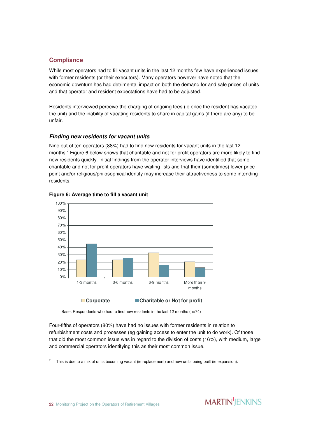#### **Compliance**

While most operators had to fill vacant units in the last 12 months few have experienced issues with former residents (or their executors). Many operators however have noted that the economic downturn has had detrimental impact on both the demand for and sale prices of units and that operator and resident expectations have had to be adjusted.

Residents interviewed perceive the charging of ongoing fees (ie once the resident has vacated the unit) and the inability of vacating residents to share in capital gains (if there are any) to be unfair.

#### **Finding new residents for vacant units**

Nine out of ten operators (88%) had to find new residents for vacant units in the last 12 months.<sup>7</sup> Figure 6 below shows that charitable and not for profit operators are more likely to find new residents quickly. Initial findings from the operator interviews have identified that some charitable and not for profit operators have waiting lists and that their (sometimes) lower price point and/or religious/philosophical identity may increase their attractiveness to some intending residents.



#### **Figure 6: Average time to fill a vacant unit**

Base: Respondents who had to find new residents in the last 12 months (n=74)

Four-fifths of operators (80%) have had no issues with former residents in relation to refurbishment costs and processes (eg gaining access to enter the unit to do work). Of those that did the most common issue was in regard to the division of costs (16%), with medium, large and commercial operators identifying this as their most common issue.

<sup>-&</sup>lt;br>7 This is due to a mix of units becoming vacant (ie replacement) and new units being built (ie expansion).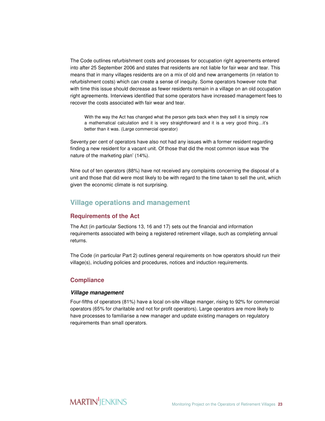The Code outlines refurbishment costs and processes for occupation right agreements entered into after 25 September 2006 and states that residents are not liable for fair wear and tear. This means that in many villages residents are on a mix of old and new arrangements (in relation to refurbishment costs) which can create a sense of inequity. Some operators however note that with time this issue should decrease as fewer residents remain in a village on an old occupation right agreements. Interviews identified that some operators have increased management fees to recover the costs associated with fair wear and tear.

With the way the Act has changed what the person gets back when they sell it is simply now a mathematical calculation and it is very straightforward and it is a very good thing…it's better than it was. (Large commercial operator)

Seventy per cent of operators have also not had any issues with a former resident regarding finding a new resident for a vacant unit. Of those that did the most common issue was 'the nature of the marketing plan' (14%).

Nine out of ten operators (88%) have not received any complaints concerning the disposal of a unit and those that did were most likely to be with regard to the time taken to sell the unit, which given the economic climate is not surprising.

#### **Village operations and management**

#### **Requirements of the Act**

The Act (in particular Sections 13, 16 and 17) sets out the financial and information requirements associated with being a registered retirement village, such as completing annual returns.

The Code (in particular Part 2) outlines general requirements on how operators should run their village(s), including policies and procedures, notices and induction requirements.

#### **Compliance**

#### **Village management**

Four-fifths of operators (81%) have a local on-site village manger, rising to 92% for commercial operators (65% for charitable and not for profit operators). Large operators are more likely to have processes to familiarise a new manager and update existing managers on regulatory requirements than small operators.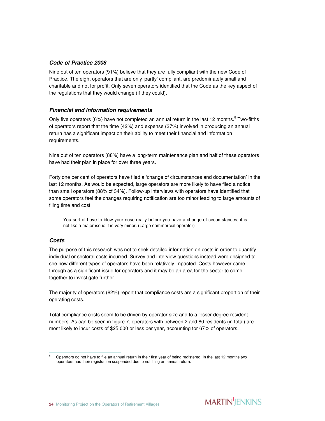#### **Code of Practice 2008**

Nine out of ten operators (91%) believe that they are fully compliant with the new Code of Practice. The eight operators that are only 'partly' compliant, are predominately small and charitable and not for profit. Only seven operators identified that the Code as the key aspect of the regulations that they would change (if they could).

#### **Financial and information requirements**

Only five operators (6%) have not completed an annual return in the last 12 months.<sup>8</sup> Two-fifths of operators report that the time (42%) and expense (37%) involved in producing an annual return has a significant impact on their ability to meet their financial and information requirements.

Nine out of ten operators (88%) have a long-term maintenance plan and half of these operators have had their plan in place for over three years.

Forty one per cent of operators have filed a 'change of circumstances and documentation' in the last 12 months. As would be expected, large operators are more likely to have filed a notice than small operators (88% cf 34%). Follow-up interviews with operators have identified that some operators feel the changes requiring notification are too minor leading to large amounts of filing time and cost.

You sort of have to blow your nose really before you have a change of circumstances; it is not like a major issue it is very minor. (Large commercial operator)

#### **Costs**

The purpose of this research was not to seek detailed information on costs in order to quantify individual or sectoral costs incurred. Survey and interview questions instead were designed to see how different types of operators have been relatively impacted. Costs however came through as a significant issue for operators and it may be an area for the sector to come together to investigate further.

The majority of operators (82%) report that compliance costs are a significant proportion of their operating costs.

Total compliance costs seem to be driven by operator size and to a lesser degree resident numbers. As can be seen in figure 7, operators with between 2 and 80 residents (in total) are most likely to incur costs of \$25,000 or less per year, accounting for 67% of operators.

j 8 Operators do not have to file an annual return in their first year of being registered. In the last 12 months two operators had their registration suspended due to not filing an annual return.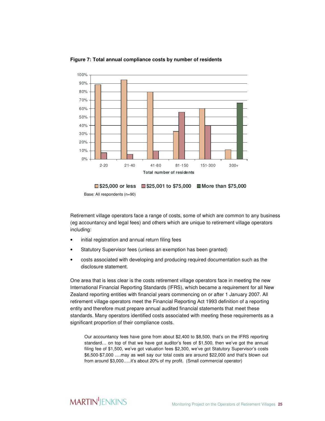

#### **Figure 7: Total annual compliance costs by number of residents**



Base: All respondents (n=90)

Retirement village operators face a range of costs, some of which are common to any business (eg accountancy and legal fees) and others which are unique to retirement village operators including:

- initial registration and annual return filing fees
- Statutory Supervisor fees (unless an exemption has been granted)
- costs associated with developing and producing required documentation such as the disclosure statement.

One area that is less clear is the costs retirement village operators face in meeting the new International Financial Reporting Standards (IFRS), which became a requirement for all New Zealand reporting entities with financial years commencing on or after 1 January 2007. All retirement village operators meet the Financial Reporting Act 1993 definition of a reporting entity and therefore must prepare annual audited financial statements that meet these standards. Many operators identified costs associated with meeting these requirements as a significant proportion of their compliance costs.

Our accountancy fees have gone from about \$2,400 to \$8,500, that's on the IFRS reporting standard… on top of that we have got auditor's fees of \$1,500, then we've got the annual filing fee of \$1,500, we've got valuation fees \$2,300, we've got Statutory Supervisor's costs \$6,500-\$7,000 ….may as well say our total costs are around \$22,000 and that's blown out from around \$3,000…..it's about 20% of my profit. (Small commercial operator)

### **MARTIN** JENKINS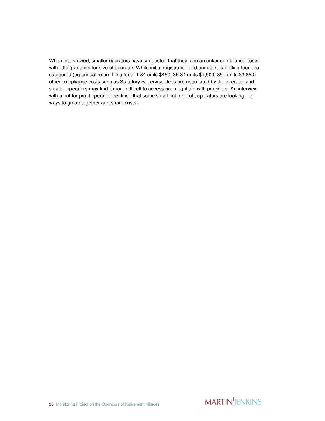When interviewed, smaller operators have suggested that they face an unfair compliance costs, with little gradation for size of operator. While initial registration and annual return filing fees are staggered (eg annual return filing fees: 1-34 units \$450; 35-84 units \$1,500; 85+ units \$3,850) other compliance costs such as Statutory Supervisor fees are negotiated by the operator and smaller operators may find it more difficult to access and negotiate with providers. An interview with a not for profit operator identified that some small not for profit operators are looking into ways to group together and share costs.

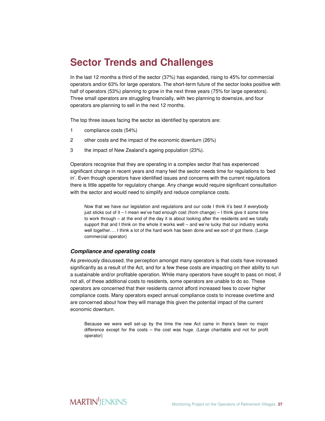### **Sector Trends and Challenges**

In the last 12 months a third of the sector (37%) has expanded, rising to 45% for commercial operators and/or 63% for large operators. The short-term future of the sector looks positive with half of operators (53%) planning to grow in the next three years (75% for large operators). Three small operators are struggling financially, with two planning to downsize, and four operators are planning to sell in the next 12 months.

The top three issues facing the sector as identified by operators are:

- 1 compliance costs (54%)
- 2 other costs and the impact of the economic downturn (26%)
- 3 the impact of New Zealand's ageing population (23%).

Operators recognise that they are operating in a complex sector that has experienced significant change in recent years and many feel the sector needs time for regulations to 'bed in'. Even though operators have identified issues and concerns with the current regulations there is little appetite for regulatory change. Any change would require significant consultation with the sector and would need to simplify and reduce compliance costs.

Now that we have our legislation and regulations and our code I think it's best if everybody just sticks out of it – I mean we've had enough cost (from change) – I think give it some time to work through – at the end of the day it is about looking after the residents and we totally support that and I think on the whole it works well – and we're lucky that our industry works well together…. I think a lot of the hard work has been done and we sort of got there. (Large commercial operator)

#### **Compliance and operating costs**

As previously discussed, the perception amongst many operators is that costs have increased significantly as a result of the Act, and for a few these costs are impacting on their ability to run a sustainable and/or profitable operation. While many operators have sought to pass on most, if not all, of these additional costs to residents, some operators are unable to do so. These operators are concerned that their residents cannot afford increased fees to cover higher compliance costs. Many operators expect annual compliance costs to increase overtime and are concerned about how they will manage this given the potential impact of the current economic downturn.

Because we were well set-up by the time the new Act came in there's been no major difference except for the costs – the cost was huge. (Large charitable and not for profit operator)

### **MARTIN**<sup>I</sup>IENKINS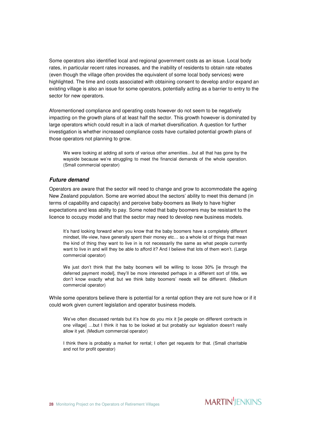Some operators also identified local and regional government costs as an issue. Local body rates, in particular recent rates increases, and the inability of residents to obtain rate rebates (even though the village often provides the equivalent of some local body services) were highlighted. The time and costs associated with obtaining consent to develop and/or expand an existing village is also an issue for some operators, potentially acting as a barrier to entry to the sector for new operators.

Aforementioned compliance and operating costs however do not seem to be negatively impacting on the growth plans of at least half the sector. This growth however is dominated by large operators which could result in a lack of market diversification. A question for further investigation is whether increased compliance costs have curtailed potential growth plans of those operators not planning to grow.

We were looking at adding all sorts of various other amenities...but all that has gone by the wayside because we're struggling to meet the financial demands of the whole operation. (Small commercial operator)

#### **Future demand**

Operators are aware that the sector will need to change and grow to accommodate the ageing New Zealand population. Some are worried about the sectors' ability to meet this demand (in terms of capability and capacity) and perceive baby-boomers as likely to have higher expectations and less ability to pay. Some noted that baby boomers may be resistant to the licence to occupy model and that the sector may need to develop new business models.

It's hard looking forward when you know that the baby boomers have a completely different mindset, life-view, have generally spent their money etc… so a whole lot of things that mean the kind of thing they want to live in is not necessarily the same as what people currently want to live in and will they be able to afford it? And I believe that lots of them won't. (Large commercial operator)

We just don't think that the baby boomers will be willing to loose 30% [ie through the deferred payment model], they'll be more interested perhaps in a different sort of title, we don't know exactly what but we think baby boomers' needs will be different. (Medium commercial operator)

While some operators believe there is potential for a rental option they are not sure how or if it could work given current legislation and operator business models.

We've often discussed rentals but it's how do you mix it [ie people on different contracts in one village] …but I think it has to be looked at but probably our legislation doesn't really allow it yet. (Medium commercial operator)

I think there is probably a market for rental; I often get requests for that. (Small charitable and not for profit operator)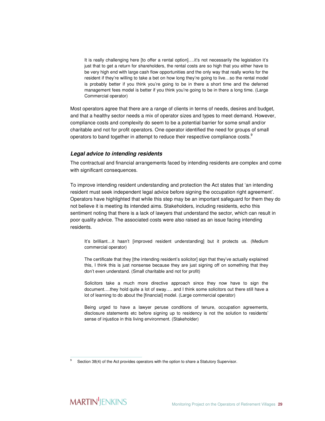It is really challenging here [to offer a rental option]....it's not necessarily the legislation it's just that to get a return for shareholders, the rental costs are so high that you either have to be very high end with large cash flow opportunities and the only way that really works for the resident if they're willing to take a bet on how long they're going to live…so the rental model is probably better if you think you're going to be in there a short time and the deferred management fees model is better if you think you're going to be in there a long time. (Large Commercial operator)

Most operators agree that there are a range of clients in terms of needs, desires and budget, and that a healthy sector needs a mix of operator sizes and types to meet demand. However, compliance costs and complexity do seem to be a potential barrier for some small and/or charitable and not for profit operators. One operator identified the need for groups of small operators to band together in attempt to reduce their respective compliance costs. $^9$ 

#### **Legal advice to intending residents**

The contractual and financial arrangements faced by intending residents are complex and come with significant consequences.

To improve intending resident understanding and protection the Act states that 'an intending resident must seek independent legal advice before signing the occupation right agreement'. Operators have highlighted that while this step may be an important safeguard for them they do not believe it is meeting its intended aims. Stakeholders, including residents, echo this sentiment noting that there is a lack of lawyers that understand the sector, which can result in poor quality advice. The associated costs were also raised as an issue facing intending residents.

It's brilliant…it hasn't [improved resident understanding] but it protects us. (Medium commercial operator)

The certificate that they [the intending resident's solicitor] sign that they've actually explained this, I think this is just nonsense because they are just signing off on something that they don't even understand. (Small charitable and not for profit)

Solicitors take a much more directive approach since they now have to sign the document….they hold quite a lot of sway…. and I think some solicitors out there still have a lot of learning to do about the [financial] model. (Large commercial operator)

Being urged to have a lawyer peruse conditions of tenure, occupation agreements, disclosure statements etc before signing up to residency is not the solution to residents' sense of injustice in this living environment. (Stakeholder)

<sup>-&</sup>lt;br>9 Section 38(4) of the Act provides operators with the option to share a Statutory Supervisor.